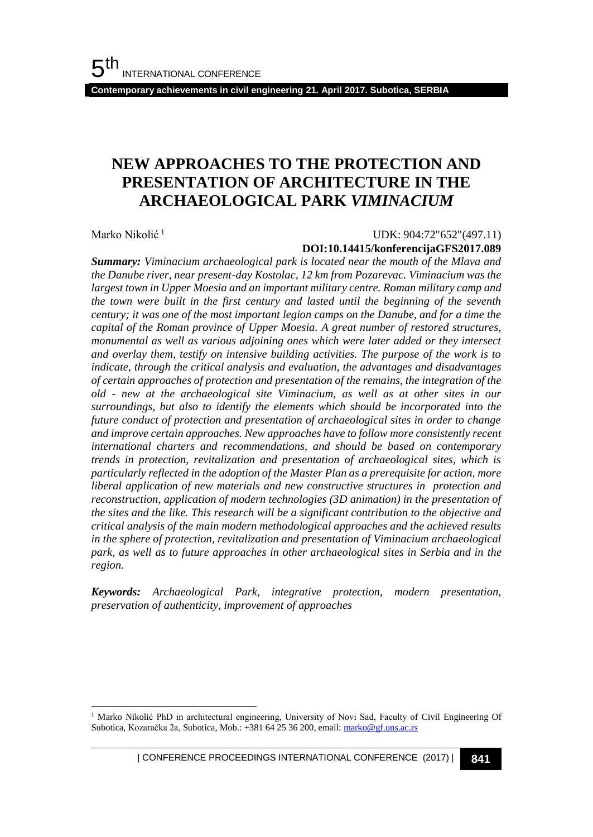**Contemporary achievements in civil engineering 21. April 2017. Subotica, SERBIA**

# **NEW APPROACHES TO THE PROTECTION AND PRESENTATION OF ARCHITECTURE IN THE ARCHAEOLOGICAL PARK** *VIMINACIUM*

Marko Nikolić<sup>1</sup>

l

#### UDK: 904:72"652"(497.11)

#### **DOI:10.14415/konferencijaGFS2017.089**

*Summary: Viminacium archaeological park is located near the mouth of the Mlava and the Danube river, near present-day Kostolac, 12 km from Pozarevac. Viminacium was the largest town in Upper Moesia and an important military centre. Roman military camp and the town were built in the first century and lasted until the beginning of the seventh century; it was one of the most important legion camps on the Danube, and for a time the capital of the Roman province of Upper Moesia. A great number of restored structures, monumental as well as various adjoining ones which were later added or they intersect and overlay them, testify on intensive building activities. The purpose of the work is to indicate, through the critical analysis and evaluation, the advantages and disadvantages of certain approaches of protection and presentation of the remains, the integration of the old - new at the archaeological site Viminacium, as well as at other sites in our surroundings, but also to identify the elements which should be incorporated into the future conduct of protection and presentation of archaeological sites in order to change and improve certain approaches. New approaches have to follow more consistently recent international charters and recommendations, and should be based on contemporary trends in protection, revitalization and presentation of archaeological sites, which is particularly reflected in the adoption of the Master Plan as a prerequisite for action, more liberal application of new materials and new constructive structures in protection and reconstruction, application of modern technologies (3D animation) in the presentation of the sites and the like. This research will be a significant contribution to the objective and critical analysis of the main modern methodological approaches and the achieved results in the sphere of protection, revitalization and presentation of Viminacium archaeological park, as well as to future approaches in other archaeological sites in Serbia and in the region.*

*Keywords: Archaeological Park, integrative protection, modern presentation, preservation of authenticity, improvement of approaches*

<sup>&</sup>lt;sup>1</sup> Marko Nikolić PhD in architectural engineering, University of Novi Sad, Faculty of Civil Engineering Of Subotica, Kozaračka 2a, Subotica, Mob.: +381 64 25 36 200, email[: marko@gf.uns.ac.rs](mailto:marko@gf.uns.ac.rs)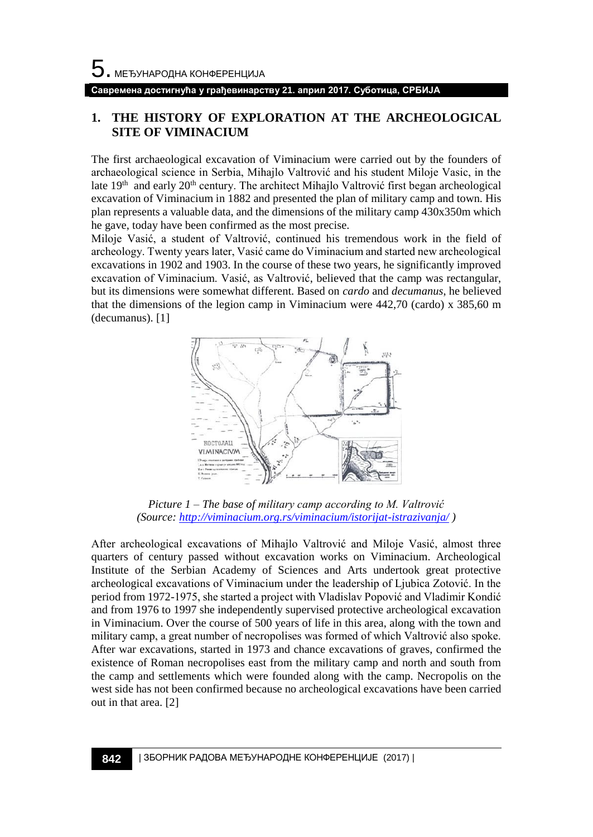**Савремена достигнућа у грађевинарству 21. април 2017. Суботица, СРБИЈА**

# **1. THE HISTORY OF EXPLORATION AT THE ARCHEOLOGICAL SITE OF VIMINACIUM**

The first archaeological excavation of Viminacium were carried out by the founders of archaeological science in Serbia, Mihajlo Valtrović and his student Miloje Vasic, in the late 19<sup>th</sup> and early 20<sup>th</sup> century. The architect Mihajlo Valtrović first began archeological excavation of Viminacium in 1882 and presented the plan of military camp and town. His plan represents a valuable data, and the dimensions of the military camp 430x350m which he gave, today have been confirmed as the most precise.

Miloje Vasić, a student of Valtrović, continued his tremendous work in the field of archeology. Twenty years later, Vasić came do Viminacium and started new archeological excavations in 1902 and 1903. In the course of these two years, he significantly improved excavation of Viminacium. Vasić, as Valtrović, believed that the camp was rectangular, but its dimensions were somewhat different. Based on *cardo* and *decumanus*, he believed that the dimensions of the legion camp in Viminacium were 442,70 (cardo) x 385,60 m (decumanus). [1]



*Picture 1 – The base of military camp according to M. Valtrović (Source:<http://viminacium.org.rs/viminacium/istorijat-istrazivanja/> )*

After archeological excavations of Mihajlo Valtrović and Miloje Vasić, almost three quarters of century passed without excavation works on Viminacium. Archeological Institute of the Serbian Academy of Sciences and Arts undertook great protective archeological excavations of Viminacium under the leadership of Ljubica Zotović. In the period from 1972-1975, she started a project with Vladislav Popović and Vladimir Kondić and from 1976 to 1997 she independently supervised protective archeological excavation in Viminacium. Over the course of 500 years of life in this area, along with the town and military camp, a great number of necropolises was formed of which Valtrović also spoke. After war excavations, started in 1973 and chance excavations of graves, confirmed the existence of Roman necropolises east from the military camp and north and south from the camp and settlements which were founded along with the camp. Necropolis on the west side has not been confirmed because no archeological excavations have been carried out in that area. [2]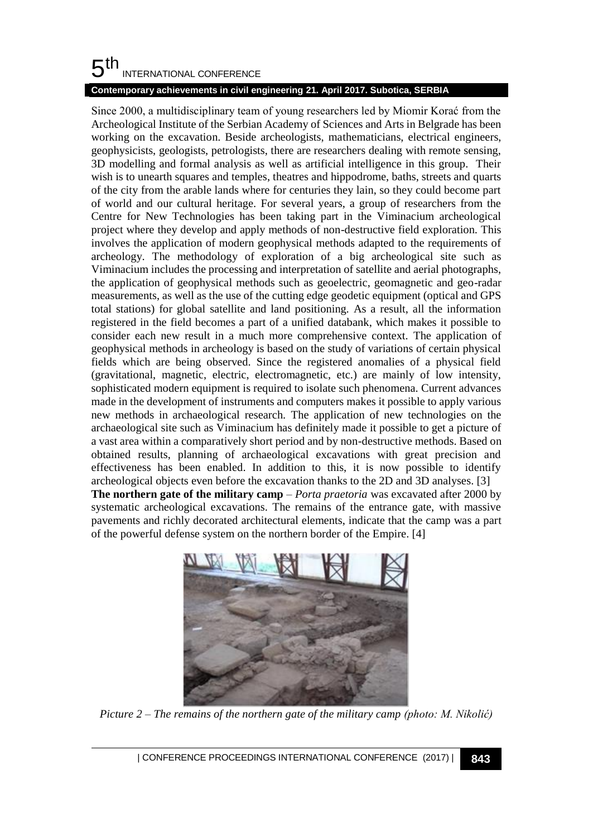# **Contemporary achievements in civil engineering 21. April 2017. Subotica, SERBIA**

Since 2000, a multidisciplinary team of young researchers led by Miomir Korać from the Archeological Institute of the Serbian Academy of Sciences and Arts in Belgrade has been working on the excavation. Beside archeologists, mathematicians, electrical engineers, geophysicists, geologists, petrologists, there are researchers dealing with remote sensing, 3D modelling and formal analysis as well as artificial intelligence in this group. Their wish is to unearth squares and temples, theatres and hippodrome, baths, streets and quarts of the city from the arable lands where for centuries they lain, so they could become part of world and our cultural heritage. For several years, a group of researchers from the Centre for New Technologies has been taking part in the Viminacium archeological project where they develop and apply methods of non-destructive field exploration. This involves the application of modern geophysical methods adapted to the requirements of archeology. The methodology of exploration of a big archeological site such as Viminacium includes the processing and interpretation of satellite and aerial photographs, the application of geophysical methods such as geoelectric, geomagnetic and geo-radar measurements, as well as the use of the cutting edge geodetic equipment (optical and GPS total stations) for global satellite and land positioning. As a result, all the information registered in the field becomes a part of a unified databank, which makes it possible to consider each new result in a much more comprehensive context. The application of geophysical methods in archeology is based on the study of variations of certain physical fields which are being observed. Since the registered anomalies of a physical field (gravitational, magnetic, electric, electromagnetic, etc.) are mainly of low intensity, sophisticated modern equipment is required to isolate such phenomena. Current advances made in the development of instruments and computers makes it possible to apply various new methods in archaeological research. The application of new technologies on the archaeological site such as Viminacium has definitely made it possible to get a picture of a vast area within a comparatively short period and by non-destructive methods. Based on obtained results, planning of archaeological excavations with great precision and effectiveness has been enabled. In addition to this, it is now possible to identify archeological objects even before the excavation thanks to the 2D and 3D analyses. [3] **The northern gate of the military camp** – *Porta praetoria* was excavated after 2000 by systematic archeological excavations. The remains of the entrance gate, with massive pavements and richly decorated architectural elements, indicate that the camp was a part



of the powerful defense system on the northern border of the Empire. [4]

*Picture 2 – The remains of the northern gate of the military camp (photo: M. Nikolić)*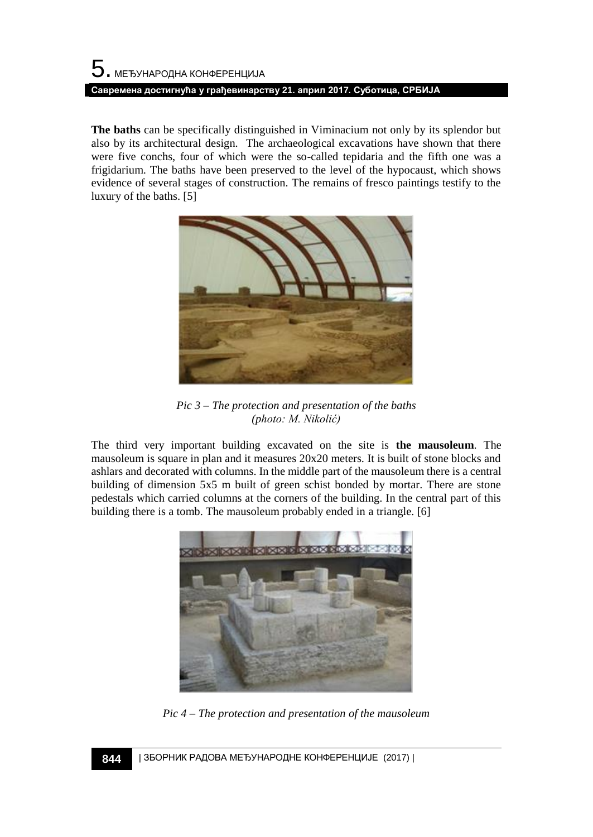# $5$ . међународна конференција **Савремена достигнућа у грађевинарству 21. април 2017. Суботица, СРБИЈА**

**The baths** can be specifically distinguished in Viminacium not only by its splendor but also by its architectural design. The archaeological excavations have shown that there were five conchs, four of which were the so-called tepidaria and the fifth one was a frigidarium. The baths have been preserved to the level of the hypocaust, which shows evidence of several stages of construction. The remains of fresco paintings testify to the luxury of the baths. [5]



*Pic 3 – The protection and presentation of the baths (photo: M. Nikolić)*

The third very important building excavated on the site is **the mausoleum**. The mausoleum is square in plan and it measures 20x20 meters. It is built of stone blocks and ashlars and decorated with columns. In the middle part of the mausoleum there is a central building of dimension 5x5 m built of green schist bonded by mortar. There are stone pedestals which carried columns at the corners of the building. In the central part of this building there is a tomb. The mausoleum probably ended in a triangle. [6]



*Pic 4 – The protection and presentation of the mausoleum*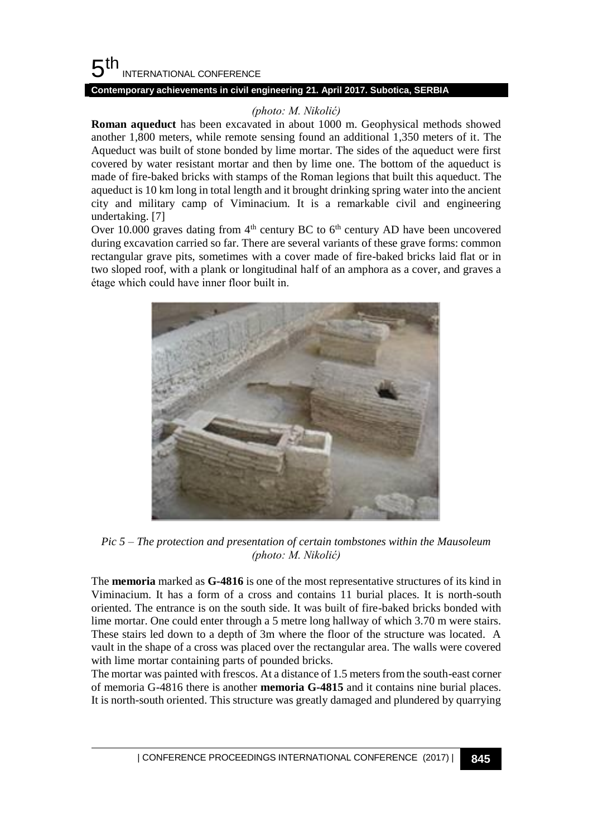## **Contemporary achievements in civil engineering 21. April 2017. Subotica, SERBIA**

# *(photo: M. Nikolić)*

**Roman aqueduct** has been excavated in about 1000 m. Geophysical methods showed another 1,800 meters, while remote sensing found an additional 1,350 meters of it. The Aqueduct was built of stone bonded by lime mortar. The sides of the aqueduct were first covered by water resistant mortar and then by lime one. The bottom of the aqueduct is made of fire-baked bricks with stamps of the Roman legions that built this aqueduct. The aqueduct is 10 km long in total length and it brought drinking spring water into the ancient city and military camp of Viminacium. It is a remarkable civil and engineering undertaking. [7]

Over 10.000 graves dating from  $4<sup>th</sup>$  century BC to  $6<sup>th</sup>$  century AD have been uncovered during excavation carried so far. There are several variants of these grave forms: common rectangular grave pits, sometimes with a cover made of fire-baked bricks laid flat or in two sloped roof, with a plank or longitudinal half of an amphora as a cover, and graves a étage which could have inner floor built in.



*Pic 5 – The protection and presentation of certain tombstones within the Mausoleum (photo: M. Nikolić)*

The **memoria** marked as **G-4816** is one of the most representative structures of its kind in Viminacium. It has a form of a cross and contains 11 burial places. It is north-south oriented. The entrance is on the south side. It was built of fire-baked bricks bonded with lime mortar. One could enter through a 5 metre long hallway of which 3.70 m were stairs. These stairs led down to a depth of 3m where the floor of the structure was located. A vault in the shape of a cross was placed over the rectangular area. The walls were covered with lime mortar containing parts of pounded bricks.

The mortar was painted with frescos. At a distance of 1.5 meters from the south-east corner of memoria G-4816 there is another **memoria G-4815** and it contains nine burial places. It is north-south oriented. This structure was greatly damaged and plundered by quarrying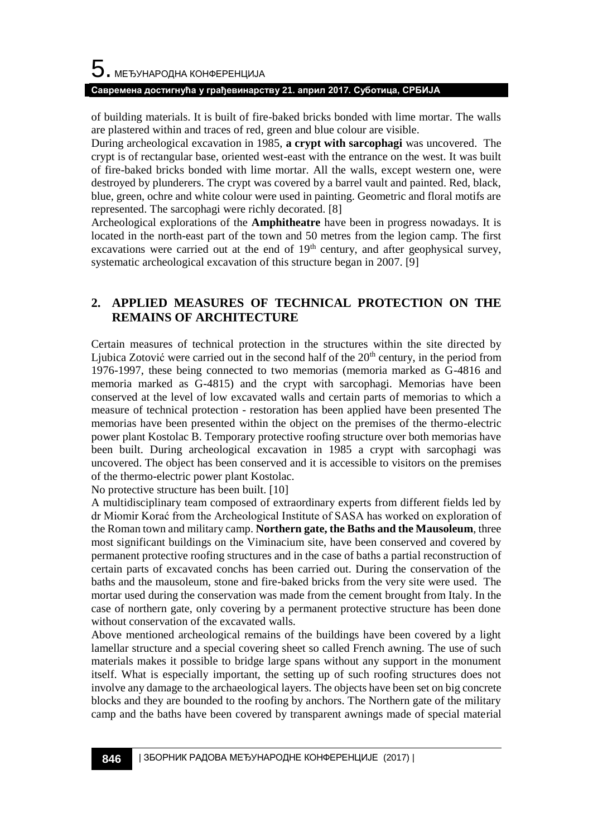#### **Савремена достигнућа у грађевинарству 21. април 2017. Суботица, СРБИЈА**

of building materials. It is built of fire-baked bricks bonded with lime mortar. The walls are plastered within and traces of red, green and blue colour are visible.

During archeological excavation in 1985, **a crypt with sarcophagi** was uncovered. The crypt is of rectangular base, oriented west-east with the entrance on the west. It was built of fire-baked bricks bonded with lime mortar. All the walls, except western one, were destroyed by plunderers. The crypt was covered by a barrel vault and painted. Red, black, blue, green, ochre and white colour were used in painting. Geometric and floral motifs are represented. The sarcophagi were richly decorated. [8]

Archeological explorations of the **Amphitheatre** have been in progress nowadays. It is located in the north-east part of the town and 50 metres from the legion camp. The first excavations were carried out at the end of  $19<sup>th</sup>$  century, and after geophysical survey, systematic archeological excavation of this structure began in 2007. [9]

# **2. APPLIED MEASURES OF TECHNICAL PROTECTION ON THE REMAINS OF ARCHITECTURE**

Certain measures of technical protection in the structures within the site directed by Ljubica Zotović were carried out in the second half of the  $20<sup>th</sup>$  century, in the period from 1976-1997, these being connected to two memorias (memoria marked as G-4816 and memoria marked as G-4815) and the crypt with sarcophagi. Memorias have been conserved at the level of low excavated walls and certain parts of memorias to which a measure of technical protection - restoration has been applied have been presented The memorias have been presented within the object on the premises of the thermo-electric power plant Kostolac B. Temporary protective roofing structure over both memorias have been built. During archeological excavation in 1985 a crypt with sarcophagi was uncovered. The object has been conserved and it is accessible to visitors on the premises of the thermo-electric power plant Kostolac.

No protective structure has been built. [10]

A multidisciplinary team composed of extraordinary experts from different fields led by dr Miomir Korać from the Archeological Institute of SASA has worked on exploration of the Roman town and military camp. **Northern gate, the Baths and the Mausoleum**, three most significant buildings on the Viminacium site, have been conserved and covered by permanent protective roofing structures and in the case of baths a partial reconstruction of certain parts of excavated conchs has been carried out. During the conservation of the baths and the mausoleum, stone and fire-baked bricks from the very site were used. The mortar used during the conservation was made from the cement brought from Italy. In the case of northern gate, only covering by a permanent protective structure has been done without conservation of the excavated walls.

Above mentioned archeological remains of the buildings have been covered by a light lamellar structure and a special covering sheet so called French awning. The use of such materials makes it possible to bridge large spans without any support in the monument itself. What is especially important, the setting up of such roofing structures does not involve any damage to the archaeological layers. The objects have been set on big concrete blocks and they are bounded to the roofing by anchors. The Northern gate of the military camp and the baths have been covered by transparent awnings made of special material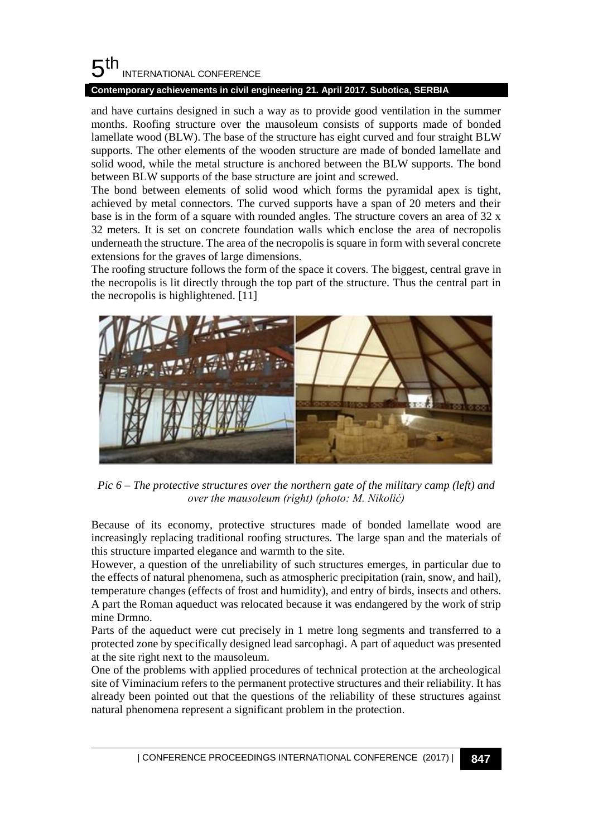## **Contemporary achievements in civil engineering 21. April 2017. Subotica, SERBIA**

and have curtains designed in such a way as to provide good ventilation in the summer months. Roofing structure over the mausoleum consists of supports made of bonded lamellate wood (BLW). The base of the structure has eight curved and four straight BLW supports. The other elements of the wooden structure are made of bonded lamellate and solid wood, while the metal structure is anchored between the BLW supports. The bond between BLW supports of the base structure are joint and screwed.

The bond between elements of solid wood which forms the pyramidal apex is tight, achieved by metal connectors. The curved supports have a span of 20 meters and their base is in the form of a square with rounded angles. The structure covers an area of 32 x 32 meters. It is set on concrete foundation walls which enclose the area of necropolis underneath the structure. The area of the necropolis is square in form with several concrete extensions for the graves of large dimensions.

The roofing structure follows the form of the space it covers. The biggest, central grave in the necropolis is lit directly through the top part of the structure. Thus the central part in the necropolis is highlightened. [11]



*Pic 6 – The protective structures over the northern gate of the military camp (left) and over the mausoleum (right) (photo: M. Nikolić)*

Because of its economy, protective structures made of bonded lamellate wood are increasingly replacing traditional roofing structures. The large span and the materials of this structure imparted elegance and warmth to the site.

However, a question of the unreliability of such structures emerges, in particular due to the effects of natural phenomena, such as atmospheric precipitation (rain, snow, and hail), temperature changes (effects of frost and humidity), and entry of birds, insects and others. A part the Roman aqueduct was relocated because it was endangered by the work of strip mine Drmno.

Parts of the aqueduct were cut precisely in 1 metre long segments and transferred to a protected zone by specifically designed lead sarcophagi. A part of aqueduct was presented at the site right next to the mausoleum.

One of the problems with applied procedures of technical protection at the archeological site of Viminacium refers to the permanent protective structures and their reliability. It has already been pointed out that the questions of the reliability of these structures against natural phenomena represent a significant problem in the protection.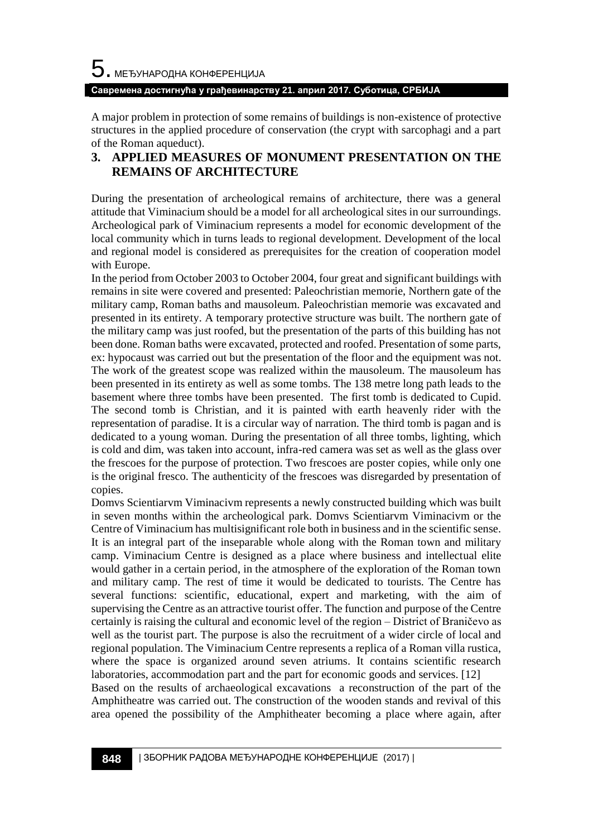#### **Савремена достигнућа у грађевинарству 21. април 2017. Суботица, СРБИЈА**

A major problem in protection of some remains of buildings is non-existence of protective structures in the applied procedure of conservation (the crypt with sarcophagi and a part of the Roman aqueduct).

# **3. APPLIED MEASURES OF MONUMENT PRESENTATION ON THE REMAINS OF ARCHITECTURE**

During the presentation of archeological remains of architecture, there was a general attitude that Viminacium should be a model for all archeological sites in our surroundings. Archeological park of Viminacium represents a model for economic development of the local community which in turns leads to regional development. Development of the local and regional model is considered as prerequisites for the creation of cooperation model with Europe.

In the period from October 2003 to October 2004, four great and significant buildings with remains in site were covered and presented: Paleochristian memorie, Northern gate of the military camp, Roman baths and mausoleum. Paleochristian memorie was excavated and presented in its entirety. A temporary protective structure was built. The northern gate of the military camp was just roofed, but the presentation of the parts of this building has not been done. Roman baths were excavated, protected and roofed. Presentation of some parts, ex: hypocaust was carried out but the presentation of the floor and the equipment was not. The work of the greatest scope was realized within the mausoleum. The mausoleum has been presented in its entirety as well as some tombs. The 138 metre long path leads to the basement where three tombs have been presented. The first tomb is dedicated to Cupid. The second tomb is Christian, and it is painted with earth heavenly rider with the representation of paradise. It is a circular way of narration. The third tomb is pagan and is dedicated to a young woman. During the presentation of all three tombs, lighting, which is cold and dim, was taken into account, infra-red camera was set as well as the glass over the frescoes for the purpose of protection. Two frescoes are poster copies, while only one is the original fresco. The authenticity of the frescoes was disregarded by presentation of copies.

Domvs Scientiarvm Viminacivm represents a newly constructed building which was built in seven months within the archeological park. Domvs Scientiarvm Viminacivm or the Centre of Viminacium has multisignificant role both in business and in the scientific sense. It is an integral part of the inseparable whole along with the Roman town and military camp. Viminacium Centre is designed as a place where business and intellectual elite would gather in a certain period, in the atmosphere of the exploration of the Roman town and military camp. The rest of time it would be dedicated to tourists. The Centre has several functions: scientific, educational, expert and marketing, with the aim of supervising the Centre as an attractive tourist offer. The function and purpose of the Centre certainly is raising the cultural and economic level of the region – District of Braničevo as well as the tourist part. The purpose is also the recruitment of a wider circle of local and regional population. The Viminacium Centre represents a replica of a Roman villa rustica, where the space is organized around seven atriums. It contains scientific research laboratories, accommodation part and the part for economic goods and services. [12]

Based on the results of archaeological excavations a reconstruction of the part of the Amphitheatre was carried out. The construction of the wooden stands and revival of this area opened the possibility of the Amphitheater becoming a place where again, after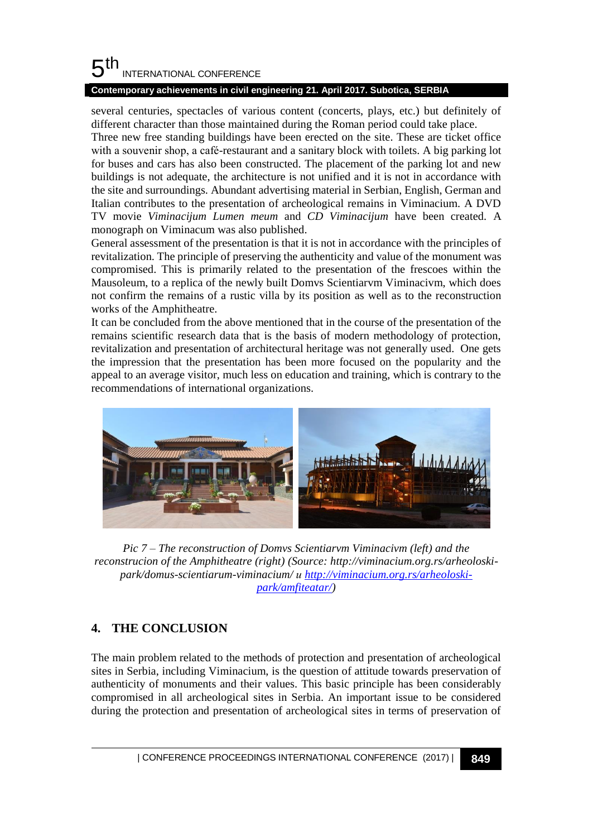# **Contemporary achievements in civil engineering 21. April 2017. Subotica, SERBIA**

several centuries, spectacles of various content (concerts, plays, etc.) but definitely of different character than those maintained during the Roman period could take place.

Three new free standing buildings have been erected on the site. These are ticket office with a souvenir shop, a café-restaurant and a sanitary block with toilets. A big parking lot for buses and cars has also been constructed. The placement of the parking lot and new buildings is not adequate, the architecture is not unified and it is not in accordance with the site and surroundings. Abundant advertising material in Serbian, English, German and Italian contributes to the presentation of archeological remains in Viminacium. A DVD TV movie *Viminacijum Lumen meum* and *CD Viminacijum* have been created*.* A monograph on Viminacum was also published.

General assessment of the presentation is that it is not in accordance with the principles of revitalization. The principle of preserving the authenticity and value of the monument was compromised. This is primarily related to the presentation of the frescoes within the Mausoleum, to a replica of the newly built Domvs Scientiarvm Viminacivm, which does not confirm the remains of a rustic villa by its position as well as to the reconstruction works of the Amphitheatre.

It can be concluded from the above mentioned that in the course of the presentation of the remains scientific research data that is the basis of modern methodology of protection, revitalization and presentation of architectural heritage was not generally used. One gets the impression that the presentation has been more focused on the popularity and the appeal to an average visitor, much less on education and training, which is contrary to the recommendations of international organizations.



*Pic 7 – The reconstruction of Domvs Scientiarvm Viminacivm (left) and the reconstrucion of the Amphitheatre (right) (Source[: http://viminacium.org.rs/arheoloski](http://viminacium.org.rs/arheoloski-park/domus-scientiarum-viminacium/)[park/domus-scientiarum-viminacium/](http://viminacium.org.rs/arheoloski-park/domus-scientiarum-viminacium/) и [http://viminacium.org.rs/arheoloski](http://viminacium.org.rs/arheoloski-park/amfiteatar/)[park/amfiteatar/\)](http://viminacium.org.rs/arheoloski-park/amfiteatar/)*

# **4. THE CONCLUSION**

The main problem related to the methods of protection and presentation of archeological sites in Serbia, including Viminacium, is the question of attitude towards preservation of authenticity of monuments and their values. This basic principle has been considerably compromised in all archeological sites in Serbia. An important issue to be considered during the protection and presentation of archeological sites in terms of preservation of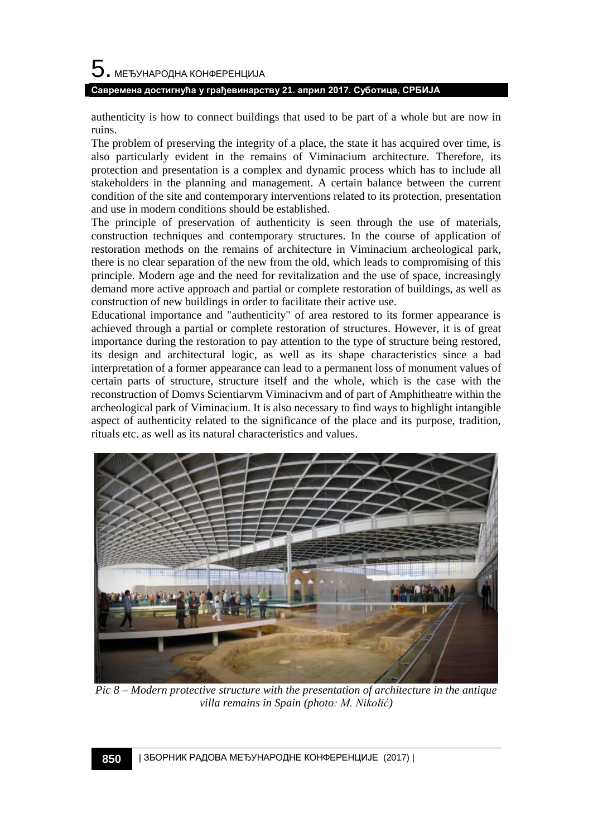# $5$ . међународна конференција

#### **Савремена достигнућа у грађевинарству 21. април 2017. Суботица, СРБИЈА**

authenticity is how to connect buildings that used to be part of a whole but are now in ruins.

The problem of preserving the integrity of a place, the state it has acquired over time, is also particularly evident in the remains of Viminacium architecture. Therefore, its protection and presentation is a complex and dynamic process which has to include all stakeholders in the planning and management. A certain balance between the current condition of the site and contemporary interventions related to its protection, presentation and use in modern conditions should be established.

The principle of preservation of authenticity is seen through the use of materials, construction techniques and contemporary structures. In the course of application of restoration methods on the remains of architecture in Viminacium archeological park, there is no clear separation of the new from the old, which leads to compromising of this principle. Modern age and the need for revitalization and the use of space, increasingly demand more active approach and partial or complete restoration of buildings, as well as construction of new buildings in order to facilitate their active use.

Educational importance and "authenticity" of area restored to its former appearance is achieved through a partial or complete restoration of structures. However, it is of great importance during the restoration to pay attention to the type of structure being restored, its design and architectural logic, as well as its shape characteristics since a bad interpretation of a former appearance can lead to a permanent loss of monument values of certain parts of structure, structure itself and the whole, which is the case with the reconstruction of Domvs Scientiarvm Viminacivm and of part of Amphitheatre within the archeological park of Viminacium. It is also necessary to find ways to highlight intangible aspect of authenticity related to the significance of the place and its purpose, tradition, rituals etc. as well as its natural characteristics and values.



*Pic 8 – Modern protective structure with the presentation of architecture in the antique villa remains in Spain (photo: М. Nikolić)*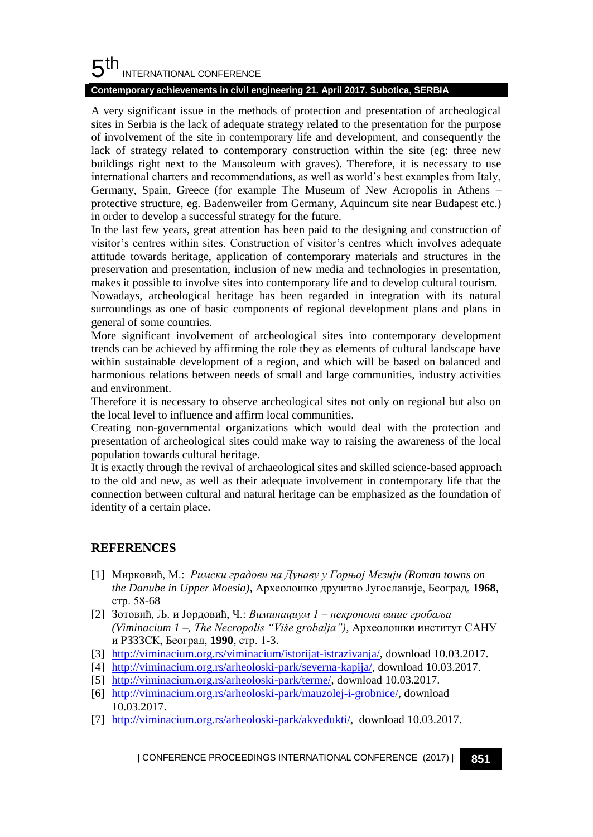## **Contemporary achievements in civil engineering 21. April 2017. Subotica, SERBIA**

A very significant issue in the methods of protection and presentation of archeological sites in Serbia is the lack of adequate strategy related to the presentation for the purpose of involvement of the site in contemporary life and development, and consequently the lack of strategy related to contemporary construction within the site (eg: three new buildings right next to the Mausoleum with graves). Therefore, it is necessary to use international charters and recommendations, as well as world's best examples from Italy, Germany, Spain, Greece (for example The Museum of New Acropolis in Athens – protective structure, eg. Badenweiler from Germany, Aquincum site near Budapest etc.) in order to develop a successful strategy for the future.

In the last few years, great attention has been paid to the designing and construction of visitor's centres within sites. Construction of visitor's centres which involves adequate attitude towards heritage, application of contemporary materials and structures in the preservation and presentation, inclusion of new media and technologies in presentation, makes it possible to involve sites into contemporary life and to develop cultural tourism.

Nowadays, archeological heritage has been regarded in integration with its natural surroundings as one of basic components of regional development plans and plans in general of some countries.

More significant involvement of archeological sites into contemporary development trends can be achieved by affirming the role they as elements of cultural landscape have within sustainable development of a region, and which will be based on balanced and harmonious relations between needs of small and large communities, industry activities and environment.

Therefore it is necessary to observe archeological sites not only on regional but also on the local level to influence and affirm local communities.

Creating non-governmental organizations which would deal with the protection and presentation of archeological sites could make way to raising the awareness of the local population towards cultural heritage.

It is exactly through the revival of archaeological sites and skilled science-based approach to the old and new, as well as their adequate involvement in contemporary life that the connection between cultural and natural heritage can be emphasized as the foundation of identity of a certain place.

# **REFERENCES**

- [1] Мирковић, М.: *Римски градови на Дунаву у Горњој Мезији (Roman towns on the Danube in Upper Moesia),* Археолошко друштво Југославије, Београд, **1968**, стр. 58-68
- [2] Зотовић, Љ. и Јордовић, Ч.: *Виминациум 1 – некропола више гробаља (Viminacium 1 –, The Necropolis "Više grobalja"),* Археолошки институт САНУ и РЗЗЗСК, Београд, **1990**, стр. 1-3.
- [3] [http://viminacium.org.rs/viminacium/istorijat-istrazivanja/,](http://viminacium.org.rs/viminacium/istorijat-istrazivanja/) download 10.03.2017.
- [4] [http://viminacium.org.rs/arheoloski-park/severna-kapija/,](http://viminacium.org.rs/arheoloski-park/severna-kapija/) download 10.03.2017.
- [5] [http://viminacium.org.rs/arheoloski-park/terme/,](http://viminacium.org.rs/arheoloski-park/terme/) download 10.03.2017.
- [6] [http://viminacium.org.rs/arheoloski-park/mauzolej-i-grobnice/,](http://viminacium.org.rs/arheoloski-park/mauzolej-i-grobnice/) download 10.03.2017.
- [7] [http://viminacium.org.rs/arheoloski-park/akvedukti/,](http://viminacium.org.rs/arheoloski-park/akvedukti/) download 10.03.2017.